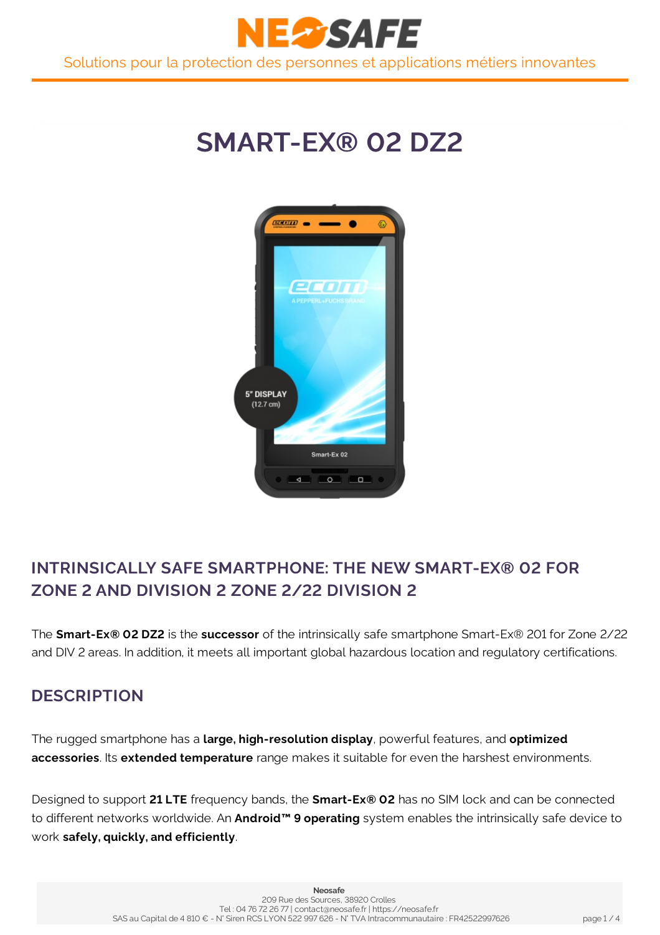



## **INTRINSICALLY SAFE SMARTPHONE: THE NEW SMART-EX® 02 FOR ZONE 2 AND DIVISION 2 ZONE 2/22 DIVISION 2**

The **Smart-Ex® 02 DZ2** is the **successor** of the intrinsically safe smartphone Smart-Ex® 201 for Zone 2/22 and DIV 2 areas. In addition, it meets all important global hazardous location and regulatory certifications.

## **DESCRIPTION**

The rugged smartphone has a **large, high-resolution display**, powerful features, and **optimized accessories**. Its **extended temperature** range makes it suitable for even the harshest environments.

Designed to support **21 LTE** frequency bands, the **Smart-Ex® 02** has no SIM lock and can be connected to different networks worldwide. An **Android™ 9 operating** system enables the intrinsically safe device to work **safely, quickly, and efficiently**.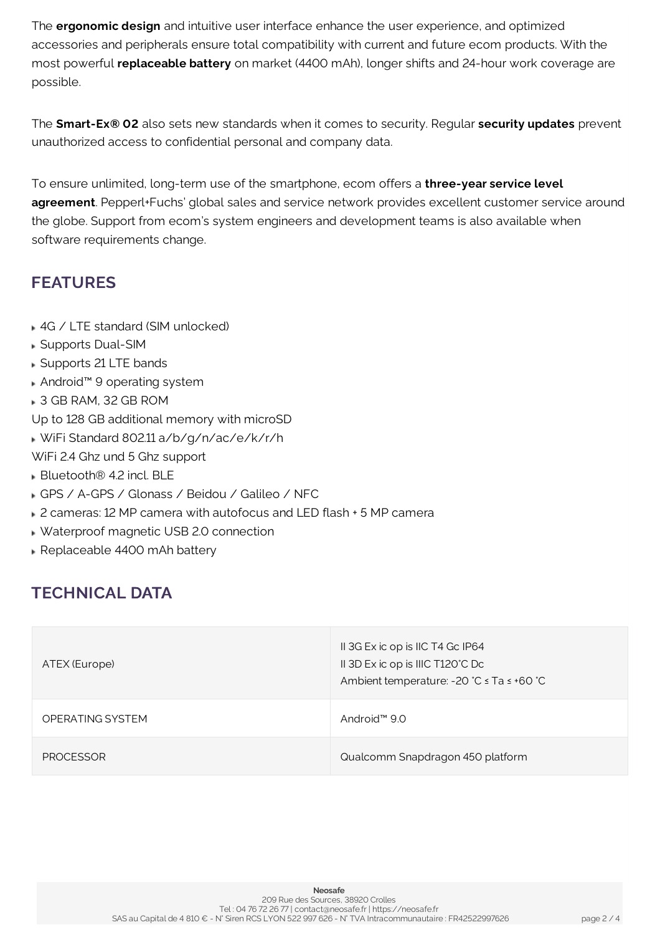The **ergonomic design** and intuitive user interface enhance the user experience, and optimized accessories and peripherals ensure total compatibility with current and future ecom products. With the most powerful **replaceable battery** on market (4400 mAh), longer shifts and 24-hour work coverage are possible.

The **Smart-Ex® 02** also sets new standards when it comes to security. Regular **security updates** prevent unauthorized access to confidential personal and company data.

To ensure unlimited, long-term use of the smartphone, ecom offers a **three-year service level agreement**. Pepperl+Fuchs' global sales and service network provides excellent customer service around the globe. Support from ecom's system engineers and development teams is also available when software requirements change.

## **FEATURES**

- 4G / LTE standard (SIM unlocked)
- Supports Dual-SIM
- Supports 21 LTE bands
- Android™ 9 operating system
- 3 GB RAM, 32 GB ROM
- Up to 128 GB additional memory with microSD
- WiFi Standard 802.11a/b/g/n/ac/e/k/r/h
- WiFi 2.4 Ghz und 5 Ghz support
- **Bluetooth<sup>®</sup>** 4.2 incl. BLE
- GPS / A-GPS / Glonass / Beidou / Galileo / NFC
- 2 cameras: 12 MP camera with autofocus and LED flash + 5 MP camera
- Waterproof magnetic USB 2.0 connection
- Replaceable 4400 mAh battery

## **TECHNICAL DATA**

| ATEX (Europe)    | II 3G Ex ic op is IIC T4 Gc IP64<br>II 3D Ex ic op is IIIC T120°C Dc<br>Ambient temperature: -20 ℃ ≤ Ta ≤ +60 ℃ |
|------------------|-----------------------------------------------------------------------------------------------------------------|
| OPERATING SYSTEM | Android <sup><math>M \leq 9.0</math></sup>                                                                      |
| <b>PROCESSOR</b> | Qualcomm Snapdragon 450 platform                                                                                |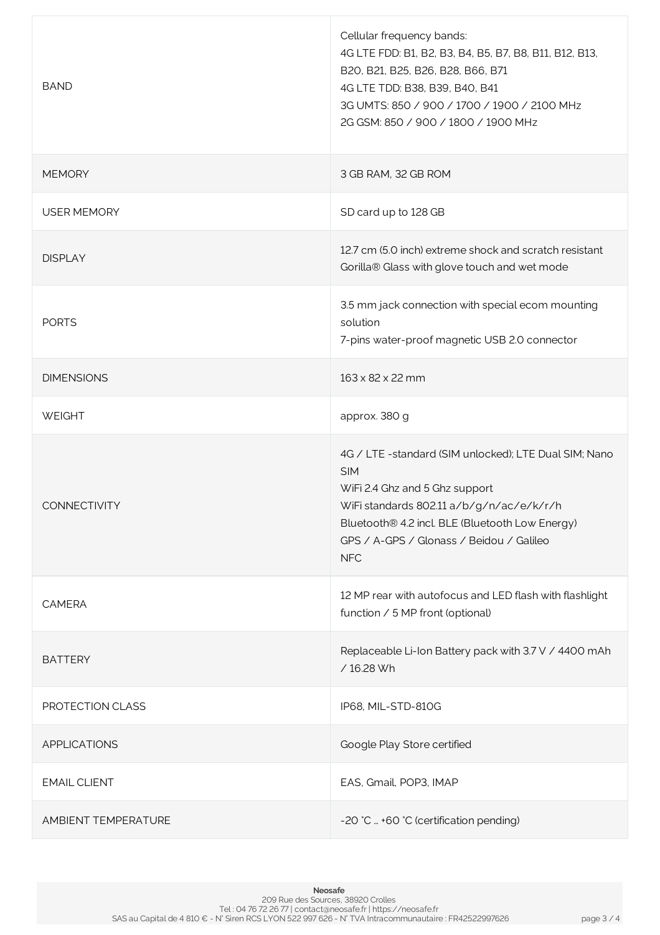| <b>BAND</b>         | Cellular frequency bands:<br>4G LTE FDD: B1, B2, B3, B4, B5, B7, B8, B11, B12, B13,<br>B20, B21, B25, B26, B28, B66, B71<br>4G LTE TDD: B38, B39, B40, B41<br>3G UMTS: 850 / 900 / 1700 / 1900 / 2100 MHz<br>2G GSM: 850 / 900 / 1800 / 1900 MHz               |
|---------------------|----------------------------------------------------------------------------------------------------------------------------------------------------------------------------------------------------------------------------------------------------------------|
| <b>MEMORY</b>       | 3 GB RAM, 32 GB ROM                                                                                                                                                                                                                                            |
| <b>USER MEMORY</b>  | SD card up to 128 GB                                                                                                                                                                                                                                           |
| <b>DISPLAY</b>      | 12.7 cm (5.0 inch) extreme shock and scratch resistant<br>Gorilla® Glass with glove touch and wet mode                                                                                                                                                         |
| <b>PORTS</b>        | 3.5 mm jack connection with special ecom mounting<br>solution<br>7-pins water-proof magnetic USB 2.0 connector                                                                                                                                                 |
| <b>DIMENSIONS</b>   | 163 x 82 x 22 mm                                                                                                                                                                                                                                               |
| <b>WEIGHT</b>       | approx. 380 g                                                                                                                                                                                                                                                  |
| <b>CONNECTIVITY</b> | 4G / LTE -standard (SIM unlocked); LTE Dual SIM; Nano<br><b>SIM</b><br>WiFi 2.4 Ghz and 5 Ghz support<br>WiFi standards 802.11 a/b/g/n/ac/e/k/r/h<br>Bluetooth® 4.2 incl. BLE (Bluetooth Low Energy)<br>GPS / A-GPS / Glonass / Beidou / Galileo<br><b>NFC</b> |
| <b>CAMERA</b>       | 12 MP rear with autofocus and LED flash with flashlight<br>function / 5 MP front (optional)                                                                                                                                                                    |
| <b>BATTERY</b>      | Replaceable Li-Ion Battery pack with 3.7 V / 4400 mAh<br>/16.28 Wh                                                                                                                                                                                             |
| PROTECTION CLASS    | IP68, MIL-STD-810G                                                                                                                                                                                                                                             |
| <b>APPLICATIONS</b> | Google Play Store certified                                                                                                                                                                                                                                    |
| <b>EMAIL CLIENT</b> | EAS, Gmail, POP3, IMAP                                                                                                                                                                                                                                         |
| AMBIENT TEMPERATURE | -20 °C  +60 °C (certification pending)                                                                                                                                                                                                                         |